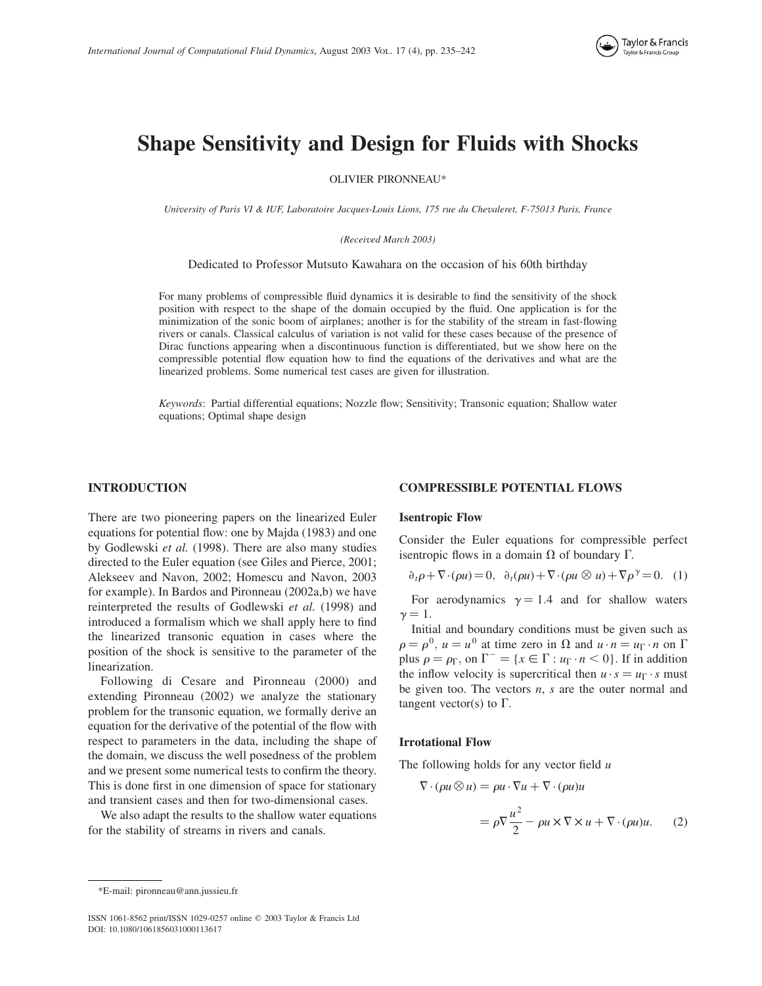

# Shape Sensitivity and Design for Fluids with Shocks

OLIVIER PIRONNEAU\*

University of Paris VI & IUF, Laboratoire Jacques-Louis Lions, 175 rue du Chevaleret, F-75013 Paris, France

(Received March 2003)

Dedicated to Professor Mutsuto Kawahara on the occasion of his 60th birthday

For many problems of compressible fluid dynamics it is desirable to find the sensitivity of the shock position with respect to the shape of the domain occupied by the fluid. One application is for the minimization of the sonic boom of airplanes; another is for the stability of the stream in fast-flowing rivers or canals. Classical calculus of variation is not valid for these cases because of the presence of Dirac functions appearing when a discontinuous function is differentiated, but we show here on the compressible potential flow equation how to find the equations of the derivatives and what are the linearized problems. Some numerical test cases are given for illustration.

Keywords: Partial differential equations; Nozzle flow; Sensitivity; Transonic equation; Shallow water equations; Optimal shape design

## INTRODUCTION

There are two pioneering papers on the linearized Euler equations for potential flow: one by Majda (1983) and one by Godlewski et al. (1998). There are also many studies directed to the Euler equation (see Giles and Pierce, 2001; Alekseev and Navon, 2002; Homescu and Navon, 2003 for example). In Bardos and Pironneau (2002a,b) we have reinterpreted the results of Godlewski et al. (1998) and introduced a formalism which we shall apply here to find the linearized transonic equation in cases where the position of the shock is sensitive to the parameter of the linearization.

Following di Cesare and Pironneau (2000) and extending Pironneau (2002) we analyze the stationary problem for the transonic equation, we formally derive an equation for the derivative of the potential of the flow with respect to parameters in the data, including the shape of the domain, we discuss the well posedness of the problem and we present some numerical tests to confirm the theory. This is done first in one dimension of space for stationary and transient cases and then for two-dimensional cases.

We also adapt the results to the shallow water equations for the stability of streams in rivers and canals.

#### COMPRESSIBLE POTENTIAL FLOWS

#### Isentropic Flow

Consider the Euler equations for compressible perfect isentropic flows in a domain  $\Omega$  of boundary  $\Gamma$ .

$$
\partial_t \rho + \nabla \cdot (\rho u) = 0, \quad \partial_t (\rho u) + \nabla \cdot (\rho u \otimes u) + \nabla \rho^{\gamma} = 0. \quad (1)
$$

For aerodynamics  $\gamma = 1.4$  and for shallow waters  $\gamma = 1.$ 

Initial and boundary conditions must be given such as  $\rho = \rho^0$ ,  $u = u^0$  at time zero in  $\Omega$  and  $u \cdot n = u_{\Gamma} \cdot n$  on  $\Gamma$ plus  $\rho = \rho_{\Gamma}$ , on  $\Gamma^- = \{x \in \Gamma : u_{\Gamma} \cdot n < 0\}$ . If in addition the inflow velocity is supercritical then  $u \cdot s = u_{\Gamma} \cdot s$  must be given too. The vectors  $n$ ,  $s$  are the outer normal and tangent vector(s) to  $\Gamma$ .

#### Irrotational Flow

The following holds for any vector field  $u$ 

$$
\nabla \cdot (\rho u \otimes u) = \rho u \cdot \nabla u + \nabla \cdot (\rho u) u
$$

$$
= \rho \nabla \frac{u^2}{2} - \rho u \times \nabla \times u + \nabla \cdot (\rho u) u. \tag{2}
$$

<sup>\*</sup>E-mail: pironneau@ann.jussieu.fr

ISSN 1061-8562 print/ISSN 1029-0257 online q 2003 Taylor & Francis Ltd DOI: 10.1080/1061856031000113617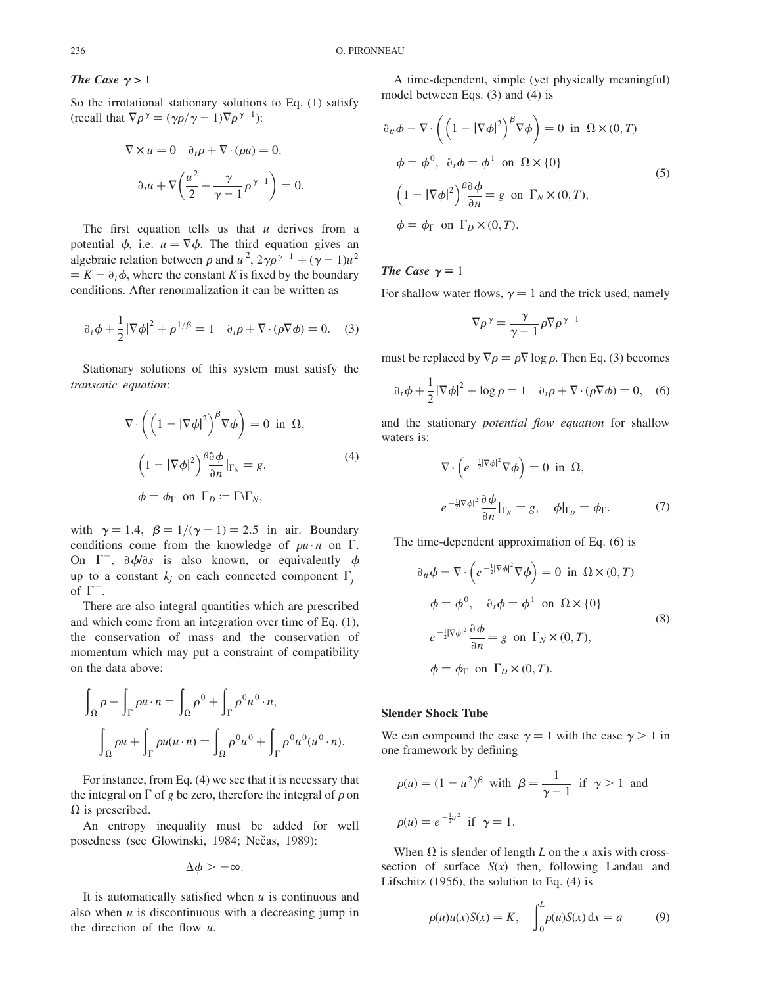# The Case  $\gamma > 1$

So the irrotational stationary solutions to Eq. (1) satisfy (recall that  $\nabla \rho^{\gamma} = (\gamma \rho / \gamma - 1) \nabla \rho^{\gamma-1}$ ):

$$
\nabla \times u = 0 \quad \partial_t \rho + \nabla \cdot (\rho u) = 0,
$$

$$
\partial_t u + \nabla \left( \frac{u^2}{2} + \frac{\gamma}{\gamma - 1} \rho^{\gamma - 1} \right) = 0.
$$

The first equation tells us that  $u$  derives from a potential  $\phi$ , i.e.  $u = \nabla \phi$ . The third equation gives an algebraic relation between  $\rho$  and  $u^2$ ,  $2\gamma\rho^{\gamma-1} + (\gamma - 1)u^2$  $K = K - \partial_t \phi$ , where the constant K is fixed by the boundary conditions. After renormalization it can be written as

$$
\partial_t \phi + \frac{1}{2} |\nabla \phi|^2 + \rho^{1/\beta} = 1 \quad \partial_t \rho + \nabla \cdot (\rho \nabla \phi) = 0. \quad (3)
$$

Stationary solutions of this system must satisfy the transonic equation:

$$
\nabla \cdot \left( \left( 1 - |\nabla \phi|^2 \right)^{\beta} \nabla \phi \right) = 0 \text{ in } \Omega,
$$
  

$$
\left( 1 - |\nabla \phi|^2 \right)^{\beta} \frac{\partial \phi}{\partial n} \Big|_{\Gamma_N} = g,
$$
  

$$
\phi = \phi_{\Gamma} \text{ on } \Gamma_D := \Gamma \backslash \Gamma_N,
$$
 (4)

with  $\gamma = 1.4$ ,  $\beta = 1/(\gamma - 1) = 2.5$  in air. Boundary conditions come from the knowledge of  $\rho u \cdot n$  on  $\Gamma$ . On  $\Gamma^-$ ,  $\partial \phi / \partial s$  is also known, or equivalently  $\phi$ up to a constant  $k_j$  on each connected component  $\Gamma_j^$ of  $\Gamma^{-}$ .

There are also integral quantities which are prescribed and which come from an integration over time of Eq. (1), the conservation of mass and the conservation of momentum which may put a constraint of compatibility on the data above:

$$
\int_{\Omega} \rho + \int_{\Gamma} \rho u \cdot n = \int_{\Omega} \rho^{0} + \int_{\Gamma} \rho^{0} u^{0} \cdot n,
$$

$$
\int_{\Omega} \rho u + \int_{\Gamma} \rho u(u \cdot n) = \int_{\Omega} \rho^{0} u^{0} + \int_{\Gamma} \rho^{0} u^{0} (u^{0} \cdot n).
$$

For instance, from Eq. (4) we see that it is necessary that the integral on  $\Gamma$  of g be zero, therefore the integral of  $\rho$  on  $\Omega$  is prescribed.

An entropy inequality must be added for well posedness (see Glowinski, 1984; Nečas, 1989):

$$
\Delta \phi > -\infty.
$$

It is automatically satisfied when  $u$  is continuous and also when  $u$  is discontinuous with a decreasing jump in the direction of the flow  $u$ .

A time-dependent, simple (yet physically meaningful) model between Eqs. (3) and (4) is

$$
\partial_{tt}\phi - \nabla \cdot \left( \left( 1 - |\nabla \phi|^2 \right)^{\beta} \nabla \phi \right) = 0 \text{ in } \Omega \times (0, T)
$$
  

$$
\phi = \phi^0, \ \partial_t \phi = \phi^1 \text{ on } \Omega \times \{0\}
$$
  

$$
\left( 1 - |\nabla \phi|^2 \right)^{\beta} \frac{\partial \phi}{\partial n} = g \text{ on } \Gamma_N \times (0, T),
$$
  

$$
\phi = \phi_\Gamma \text{ on } \Gamma_D \times (0, T).
$$
 (5)

## The Case  $\gamma = 1$

For shallow water flows,  $\gamma = 1$  and the trick used, namely

$$
\nabla \rho^{\gamma} = \frac{\gamma}{\gamma - 1} \rho \nabla \rho^{\gamma - 1}
$$

must be replaced by  $\nabla \rho = \rho \nabla \log \rho$ . Then Eq. (3) becomes

$$
\partial_t \phi + \frac{1}{2} |\nabla \phi|^2 + \log \rho = 1 \quad \partial_t \rho + \nabla \cdot (\rho \nabla \phi) = 0, \quad (6)
$$

and the stationary *potential flow equation* for shallow waters is:

$$
\nabla \cdot \left( e^{-\frac{1}{2}|\nabla \phi|^2} \nabla \phi \right) = 0 \text{ in } \Omega,
$$
  

$$
e^{-\frac{1}{2}|\nabla \phi|^2} \frac{\partial \phi}{\partial n} \big|_{\Gamma_N} = g, \quad \phi|_{\Gamma_D} = \phi_\Gamma.
$$
 (7)

The time-dependent approximation of Eq. (6) is

$$
\partial_{tt}\phi - \nabla \cdot \left(e^{-\frac{1}{2}|\nabla \phi|^2}\nabla \phi\right) = 0 \text{ in } \Omega \times (0, T)
$$
  

$$
\phi = \phi^0, \quad \partial_t \phi = \phi^1 \text{ on } \Omega \times \{0\}
$$
  

$$
e^{-\frac{1}{2}|\nabla \phi|^2} \frac{\partial \phi}{\partial n} = g \text{ on } \Gamma_N \times (0, T),
$$
  

$$
\phi = \phi_\Gamma \text{ on } \Gamma_D \times (0, T).
$$
 (8)

### Slender Shock Tube

We can compound the case  $\gamma = 1$  with the case  $\gamma > 1$  in one framework by defining

$$
\rho(u) = (1 - u^2)^{\beta} \text{ with } \beta = \frac{1}{\gamma - 1} \text{ if } \gamma > 1 \text{ and}
$$
  

$$
\rho(u) = e^{-\frac{1}{2}u^2} \text{ if } \gamma = 1.
$$

When  $\Omega$  is slender of length L on the x axis with crosssection of surface  $S(x)$  then, following Landau and Lifschitz (1956), the solution to Eq. (4) is

$$
\rho(u)u(x)S(x) = K, \quad \int_0^L \rho(u)S(x) \, \mathrm{d}x = a \tag{9}
$$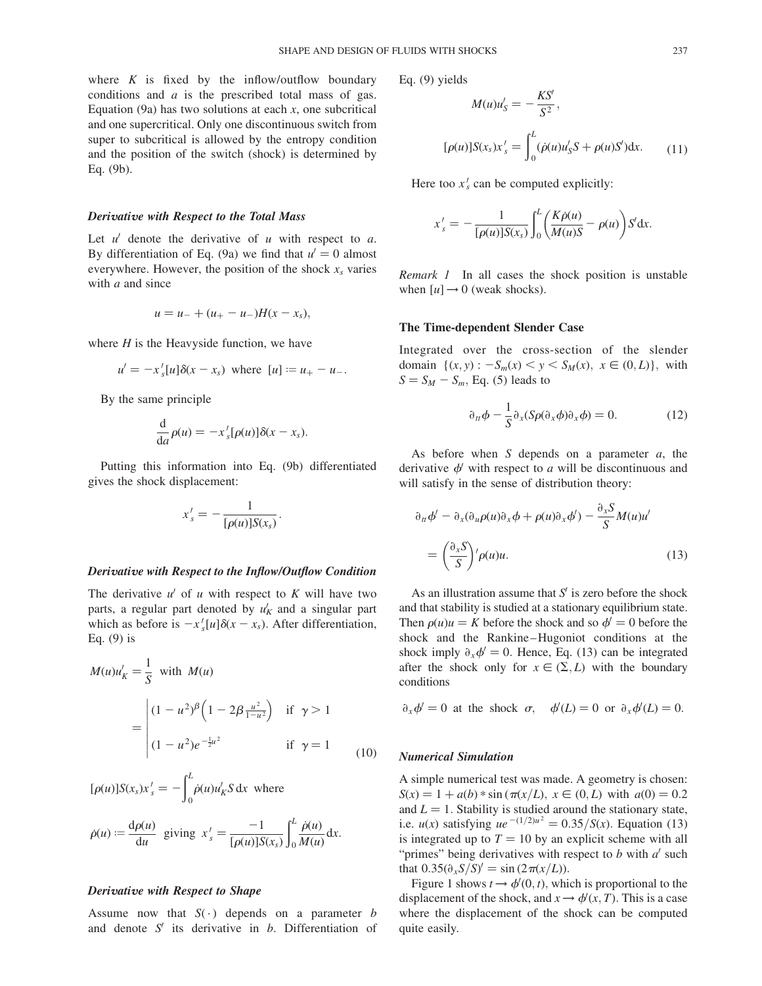where  $K$  is fixed by the inflow/outflow boundary conditions and  $a$  is the prescribed total mass of gas. Equation (9a) has two solutions at each  $x$ , one subcritical and one supercritical. Only one discontinuous switch from super to subcritical is allowed by the entropy condition and the position of the switch (shock) is determined by Eq. (9b).

#### Derivative with Respect to the Total Mass

Let  $u'$  denote the derivative of u with respect to a. By differentiation of Eq. (9a) we find that  $u' = 0$  almost everywhere. However, the position of the shock  $x_s$  varies with  $a$  and since

$$
u = u_- + (u_+ - u_-)H(x - x_s),
$$

where  $H$  is the Heavyside function, we have

$$
u' = -x'_{s}[u]\delta(x - x_{s})
$$
 where  $[u] := u_{+} - u_{-}$ .

By the same principle

$$
\frac{\mathrm{d}}{\mathrm{d}a}\rho(u)=-x'_{s}[\rho(u)]\delta(x-x_{s}).
$$

Putting this information into Eq. (9b) differentiated gives the shock displacement:

$$
x'_{s} = -\frac{1}{[\rho(u)]S(x_{s})}
$$

:

### Derivative with Respect to the Inflow/Outflow Condition

The derivative  $u'$  of u with respect to K will have two parts, a regular part denoted by  $u'_K$  and a singular part which as before is  $-x'_{s}[u]\delta(x-x_{s})$ . After differentiation, Eq. (9) is

$$
M(u)u'_{K} = \frac{1}{S} \text{ with } M(u)
$$
  
= 
$$
\begin{vmatrix} (1 - u^{2})^{\beta} \left( 1 - 2\beta \frac{u^{2}}{1 - u^{2}} \right) & \text{if } \gamma > 1 \\ (1 - u^{2})e^{-\frac{1}{2}u^{2}} & \text{if } \gamma = 1 \end{vmatrix}
$$
 (10)

$$
[\rho(u)]S(x_s)x'_s = -\int_0^L \dot{\rho}(u)u'_K S \, \mathrm{d}x \text{ where}
$$

$$
\dot{\rho}(u) := \frac{\mathrm{d}\rho(u)}{\mathrm{d}u} \text{ giving } x'_s = \frac{-1}{[\rho(u)]S(x_s)} \int_0^L \frac{\dot{\rho}(u)}{M(u)} \, \mathrm{d}x.
$$

#### Derivative with Respect to Shape

Assume now that  $S(\cdot)$  depends on a parameter b and denote  $S'$  its derivative in b. Differentiation of Eq. (9) yields

$$
M(u)u'_{S} = -\frac{KS'}{S^{2}},
$$
  
[ $\rho(u)$ ]S( $x_{S}$ ) $x'_{S}$  =  $\int_{0}^{L} (\dot{\rho}(u)u'_{S}S + \rho(u)S')dx.$  (11)

Here too  $x'_s$  can be computed explicitly:

$$
x'_{s} = -\frac{1}{[\rho(u)]S(x_{s})}\int_{0}^{L} \left(\frac{K\dot{\rho}(u)}{M(u)S} - \rho(u)\right)S'dx.
$$

Remark 1 In all cases the shock position is unstable when  $[u] \rightarrow 0$  (weak shocks).

## The Time-dependent Slender Case

Integrated over the cross-section of the slender domain  $\{(x, y) : -S_m(x) < y < S_M(x), x \in (0, L)\}\$ , with  $S = S_M - S_m$ , Eq. (5) leads to

$$
\partial_{tt}\phi - \frac{1}{S}\partial_x(S\rho(\partial_x\phi)\partial_x\phi) = 0.
$$
 (12)

As before when S depends on a parameter  $a$ , the derivative  $\phi'$  with respect to a will be discontinuous and will satisfy in the sense of distribution theory:

$$
\partial_{tt} \phi' - \partial_x (\partial_u \rho(u) \partial_x \phi + \rho(u) \partial_x \phi') - \frac{\partial_x S}{S} M(u) u'
$$
  
= 
$$
\left(\frac{\partial_x S}{S}\right)' \rho(u) u.
$$
 (13)

As an illustration assume that  $S'$  is zero before the shock and that stability is studied at a stationary equilibrium state. Then  $\rho(u)u = K$  before the shock and so  $\phi' = 0$  before the shock and the Rankine–Hugoniot conditions at the shock imply  $\partial_{x}\phi' = 0$ . Hence, Eq. (13) can be integrated after the shock only for  $x \in (\Sigma, L)$  with the boundary conditions

$$
\partial_x \phi' = 0
$$
 at the shock  $\sigma$ ,  $\phi'(L) = 0$  or  $\partial_x \phi'(L) = 0$ .

### Numerical Simulation

A simple numerical test was made. A geometry is chosen:  $S(x) = 1 + a(b) * \sin(\pi(x/L), x \in (0, L)$  with  $a(0) = 0.2$ and  $L = 1$ . Stability is studied around the stationary state, i.e.  $u(x)$  satisfying  $ue^{-(1/2)u^2} = 0.35/S(x)$ . Equation (13) is integrated up to  $T = 10$  by an explicit scheme with all "primes" being derivatives with respect to  $b$  with  $a'$  such that  $0.35(\partial_x S/S)' = \sin(2\pi(x/L)).$ 

Figure 1 shows  $t \to \phi'(0, t)$ , which is proportional to the displacement of the shock, and  $x \rightarrow \phi'(x, T)$ . This is a case where the displacement of the shock can be computed quite easily.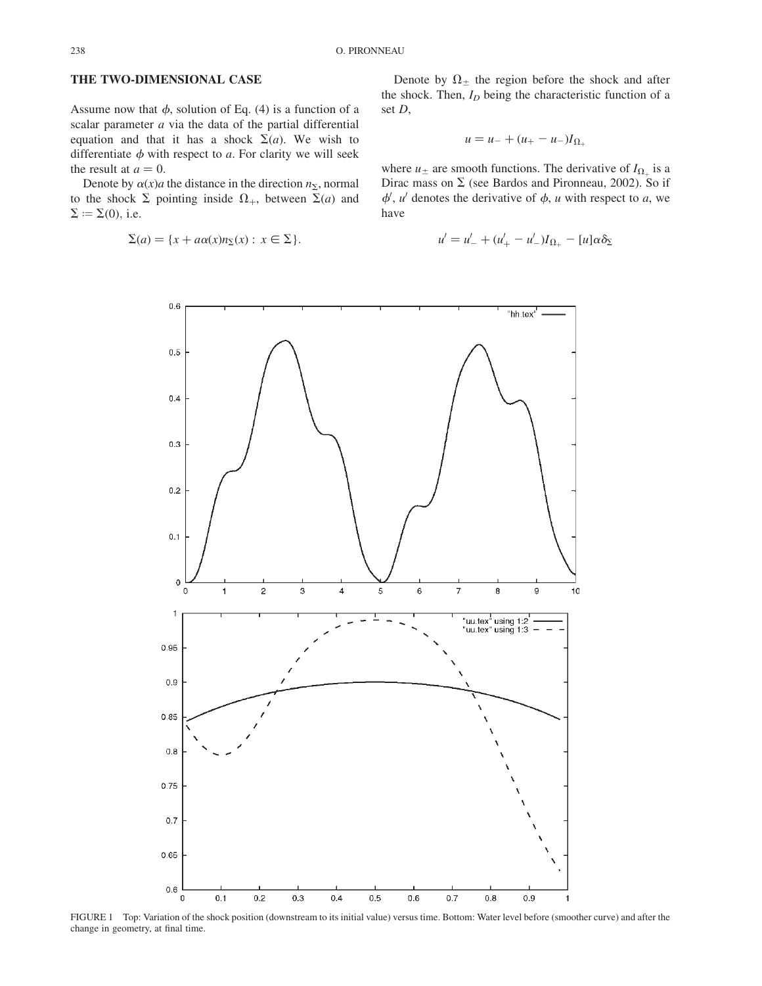# THE TWO-DIMENSIONAL CASE

Assume now that  $\phi$ , solution of Eq. (4) is a function of a scalar parameter  $a$  via the data of the partial differential equation and that it has a shock  $\Sigma(a)$ . We wish to differentiate  $\phi$  with respect to a. For clarity we will seek the result at  $a = 0$ .

Denote by  $\alpha(x)$  the distance in the direction  $n_{\Sigma}$ , normal to the shock  $\Sigma$  pointing inside  $\Omega_{+}$ , between  $\Sigma(a)$  and  $\Sigma := \Sigma(0)$ , i.e.

$$
\Sigma(a) = \{x + a\alpha(x)n_{\Sigma}(x) : x \in \Sigma\}.
$$

Denote by  $\Omega_{\pm}$  the region before the shock and after the shock. Then,  $I_D$  being the characteristic function of a set D,

$$
u = u_- + (u_+ - u_-)I_{\Omega_+}
$$

where  $u_{\pm}$  are smooth functions. The derivative of  $I_{\Omega_{+}}$  is a Dirac mass on  $\Sigma$  (see Bardos and Pironneau, 2002). So if  $\phi'$ , u' denotes the derivative of  $\phi$ , u with respect to a, we have

$$
u' = u'_{-} + (u'_{+} - u'_{-})I_{\Omega_{+}} - [u]\alpha \delta_{\Sigma}
$$



FIGURE 1 Top: Variation of the shock position (downstream to its initial value) versus time. Bottom: Water level before (smoother curve) and after the change in geometry, at final time.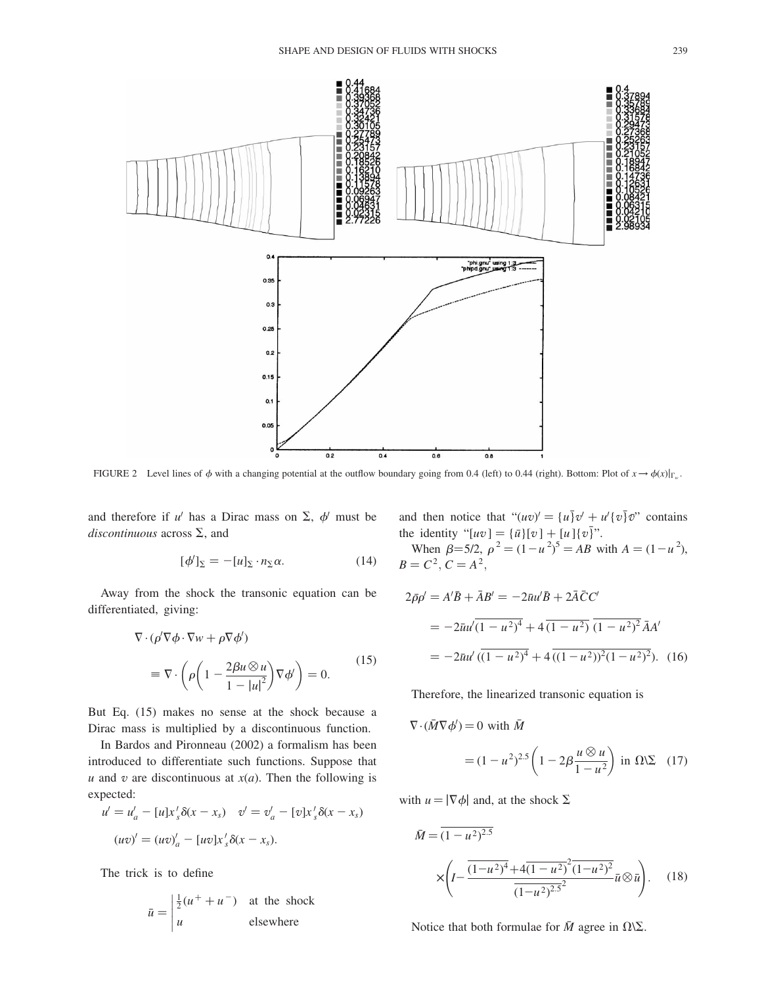

FIGURE 2 Level lines of  $\phi$  with a changing potential at the outflow boundary going from 0.4 (left) to 0.44 (right). Bottom: Plot of  $x \to \phi(x)|_{\Gamma_w}$ .

and therefore if u' has a Dirac mass on  $\Sigma$ ,  $\phi$  must be discontinuous across  $\Sigma$ , and

$$
[\phi']_{\Sigma} = -[u]_{\Sigma} \cdot n_{\Sigma} \alpha. \tag{14}
$$

Away from the shock the transonic equation can be differentiated, giving:

$$
\nabla \cdot (\rho' \nabla \phi \cdot \nabla w + \rho \nabla \phi')
$$
  
= 
$$
\nabla \cdot \left( \rho \left( 1 - \frac{2\beta u \otimes u}{1 - |u|^2} \right) \nabla \phi' \right) = 0.
$$
 (15)

But Eq. (15) makes no sense at the shock because a Dirac mass is multiplied by a discontinuous function.

In Bardos and Pironneau (2002) a formalism has been introduced to differentiate such functions. Suppose that u and v are discontinuous at  $x(a)$ . Then the following is expected:

$$
u' = u'_a - [u]x'_s \delta(x - x_s) \quad v' = v'_a - [v]x'_s \delta(x - x_s)
$$

$$
(uv)' = (uv)'_a - [uv]x'_s \delta(x - x_s).
$$

The trick is to define

$$
\bar{u} = \begin{vmatrix} \frac{1}{2}(u^+ + u^-) & \text{at the shock} \\ u & \text{elsewhere} \end{vmatrix}
$$

and then notice that " $(uv)' = {u}v' + u'{v}v\overline{v}$ " contains the identity "[uv] = { $\bar{u}$ }[v] + [u]{v}".

When  $\beta = 5/2$ ,  $\rho^2 = (1 - u^2)^5 = AB$  with  $A = (1 - u^2)$ ,  $B = C^2, C = A^2,$ 

$$
2\bar{\rho}\rho' = A'\bar{B} + \bar{A}B' = -2\bar{u}u'\bar{B} + 2\bar{A}\bar{C}C'
$$
  
= 
$$
-2\bar{u}u'(\bar{1-u^2})^4 + 4(\bar{1-u^2})(\bar{1-u^2})^2\bar{A}A'
$$
  
= 
$$
-2\bar{u}u'(\bar{1-u^2})^4 + 4(\bar{1-u^2})^2(1-u^2)^2).
$$
 (16)

Therefore, the linearized transonic equation is

$$
= (1 - u^2)^{2.5} \left( 1 - 2\beta \frac{u \otimes u}{1 - u^2} \right) \text{ in } \Omega \backslash \Sigma \quad (17)
$$

with  $u = |\nabla \phi|$  and, at the shock  $\Sigma$ 

 $\nabla \cdot (\bar{M} \nabla \phi') = 0$  with  $\bar{M}$ 

$$
\bar{M} = \overline{(1 - u^2)^{2.5}}
$$
\n
$$
\times \left( I - \frac{\overline{(1 - u^2)^4 + 4(1 - u^2)^2 (1 - u^2)^2}}{(1 - u^2)^{2.5^2}} \bar{u} \otimes \bar{u} \right). \quad (18)
$$

Notice that both formulae for  $\bar{M}$  agree in  $\Omega \backslash \Sigma$ .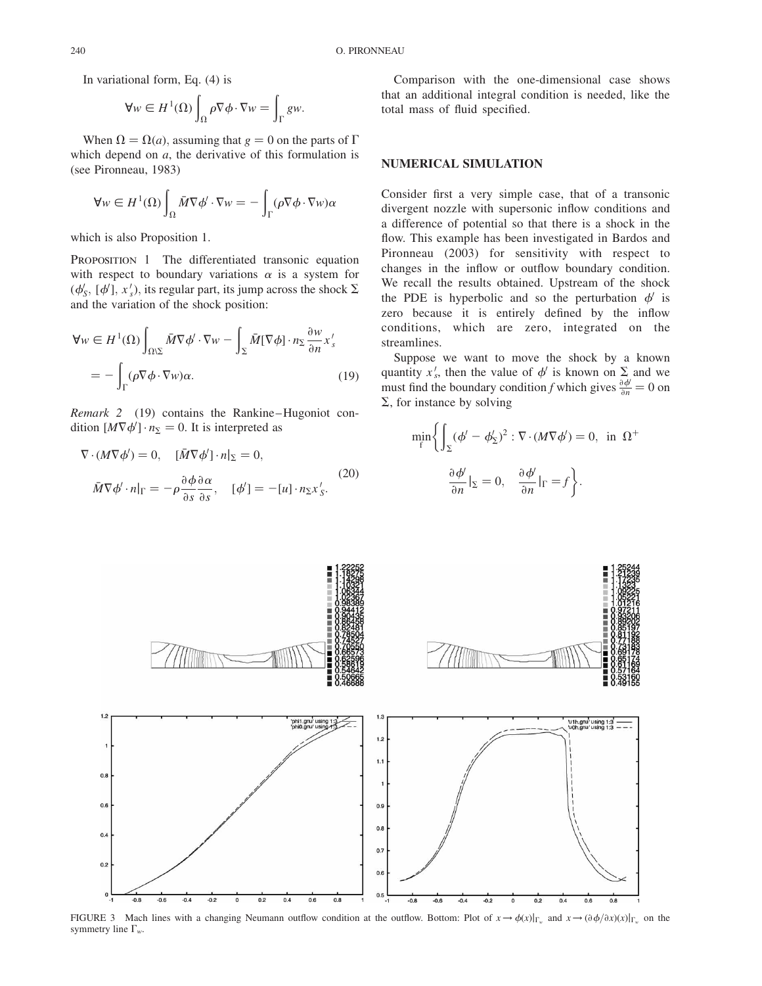In variational form, Eq. (4) is

$$
\forall w \in H^{1}(\Omega) \int_{\Omega} \rho \nabla \phi \cdot \nabla w = \int_{\Gamma} gw.
$$

When  $\Omega = \Omega(a)$ , assuming that  $g = 0$  on the parts of  $\Gamma$ which depend on  $a$ , the derivative of this formulation is (see Pironneau, 1983)

$$
\forall w \in H^{1}(\Omega) \int_{\Omega} \bar{M} \nabla \phi' \cdot \nabla w = - \int_{\Gamma} (\rho \nabla \phi \cdot \nabla w) \alpha
$$

which is also Proposition 1.

PROPOSITION 1 The differentiated transonic equation with respect to boundary variations  $\alpha$  is a system for  $(\phi'_{s}, [\phi'], x'_{s}),$  its regular part, its jump across the shock  $\Sigma$ and the variation of the shock position:

$$
\forall w \in H^{1}(\Omega) \int_{\Omega \setminus \Sigma} \bar{M} \nabla \phi' \cdot \nabla w - \int_{\Sigma} \bar{M} [\nabla \phi] \cdot n_{\Sigma} \frac{\partial w}{\partial n} x'_{s}
$$
  
= 
$$
- \int_{\Gamma} (\rho \nabla \phi \cdot \nabla w) \alpha.
$$
 (19)

Remark 2 (19) contains the Rankine–Hugoniot condition  $[M\nabla\phi']\cdot n_{\Sigma} = 0$ . It is interpreted as

$$
\nabla \cdot (M \nabla \phi') = 0, \quad [\bar{M} \nabla \phi'] \cdot n|_{\Sigma} = 0,
$$
  

$$
\bar{M} \nabla \phi' \cdot n|_{\Gamma} = -\rho \frac{\partial \phi}{\partial s} \frac{\partial \alpha}{\partial s}, \quad [\phi'] = -[u] \cdot n_{\Sigma} x'_{s}.
$$
 (20)

Comparison with the one-dimensional case shows that an additional integral condition is needed, like the total mass of fluid specified.

# NUMERICAL SIMULATION

Consider first a very simple case, that of a transonic divergent nozzle with supersonic inflow conditions and a difference of potential so that there is a shock in the flow. This example has been investigated in Bardos and Pironneau (2003) for sensitivity with respect to changes in the inflow or outflow boundary condition. We recall the results obtained. Upstream of the shock the PDE is hyperbolic and so the perturbation  $\phi'$  is zero because it is entirely defined by the inflow conditions, which are zero, integrated on the streamlines.

Suppose we want to move the shock by a known quantity  $x'_s$ , then the value of  $\phi'$  is known on  $\Sigma$  and we must find the boundary condition f which gives  $\frac{\partial \phi}{\partial n} = 0$  on  $\Sigma$ , for instance by solving

$$
\min_{f} \left\{ \int_{\Sigma} (\phi' - \phi'_{\Sigma})^2 : \nabla \cdot (M \nabla \phi') = 0, \text{ in } \Omega^+ \right\}
$$

$$
\frac{\partial \phi'}{\partial n}|_{\Sigma} = 0, \frac{\partial \phi'}{\partial n}|_{\Gamma} = f \right\}.
$$



FIGURE 3 Mach lines with a changing Neumann outflow condition at the outflow. Bottom: Plot of  $x \to \phi(x)|_{\Gamma_w}$  and  $x \to (\partial \phi/\partial x)(x)|_{\Gamma_w}$  on the symmetry line  $\Gamma_w$ .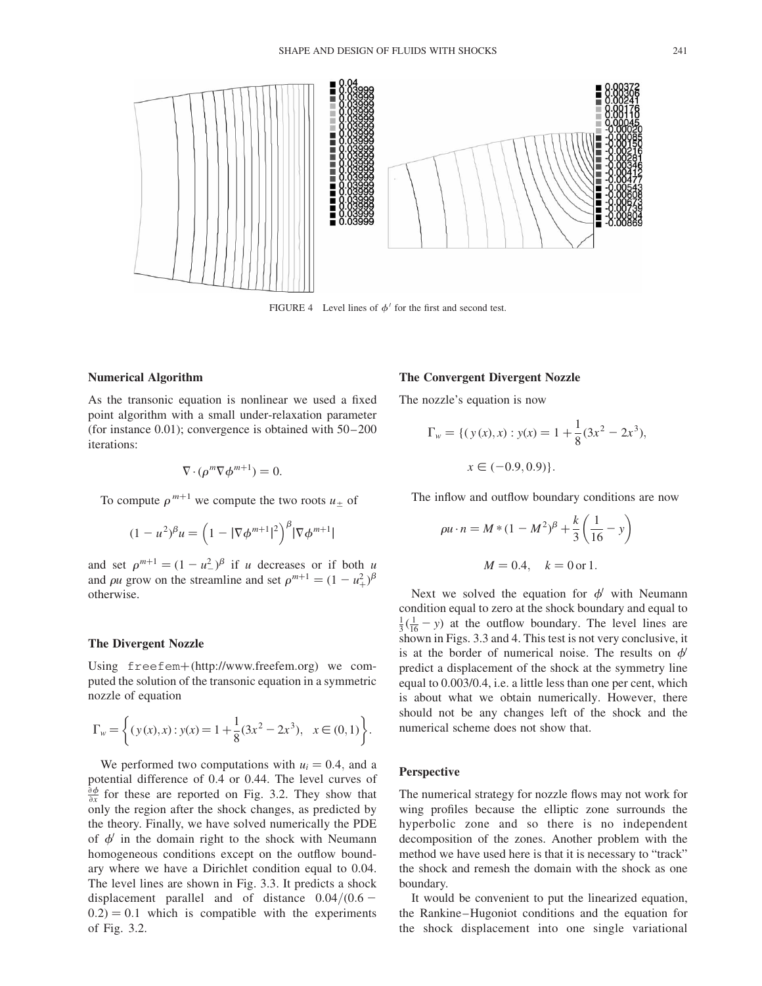

FIGURE 4 Level lines of  $\phi'$  for the first and second test.

#### Numerical Algorithm

As the transonic equation is nonlinear we used a fixed point algorithm with a small under-relaxation parameter (for instance 0.01); convergence is obtained with 50–200 iterations:

$$
\nabla \cdot (\rho^m \nabla \phi^{m+1}) = 0.
$$

To compute  $\rho^{m+1}$  we compute the two roots  $u_+$  of

$$
(1 - u^2)^{\beta} u = \left(1 - |\nabla \phi^{m+1}|^2\right)^{\beta} |\nabla \phi^{m+1}|
$$

and set  $\rho^{m+1} = (1 - u^2)^{\beta}$  if u decreases or if both u and  $\rho u$  grow on the streamline and set  $\rho^{m+1} = (1 - u_+^2)^\beta$ otherwise.

# The Divergent Nozzle

Using freefem+(http://www.freefem.org) we computed the solution of the transonic equation in a symmetric nozzle of equation

$$
\Gamma_w = \left\{ (y(x), x) : y(x) = 1 + \frac{1}{8} (3x^2 - 2x^3), \quad x \in (0, 1) \right\}.
$$

We performed two computations with  $u_i = 0.4$ , and a potential difference of 0.4 or 0.44. The level curves of  $\frac{\partial \phi}{\partial x}$  for these are reported on Fig. 3.2. They show that only the region after the shock changes, as predicted by the theory. Finally, we have solved numerically the PDE of  $\phi'$  in the domain right to the shock with Neumann homogeneous conditions except on the outflow boundary where we have a Dirichlet condition equal to 0.04. The level lines are shown in Fig. 3.3. It predicts a shock displacement parallel and of distance  $0.04/(0.6 (0.2) = 0.1$  which is compatible with the experiments of Fig. 3.2.

#### The Convergent Divergent Nozzle

The nozzle's equation is now

$$
\Gamma_w = \{ (y(x), x) : y(x) = 1 + \frac{1}{8} (3x^2 - 2x^3),
$$
  

$$
x \in (-0.9, 0.9) \}.
$$

The inflow and outflow boundary conditions are now

$$
\rho u \cdot n = M * (1 - M^2)^{\beta} + \frac{k}{3} \left( \frac{1}{16} - y \right)
$$

$$
M = 0.4, \quad k = 0 \text{ or } 1.
$$

Next we solved the equation for  $\phi'$  with Neumann condition equal to zero at the shock boundary and equal to  $\frac{1}{3}(\frac{1}{16} - y)$  at the outflow boundary. The level lines are shown in Figs. 3.3 and 4. This test is not very conclusive, it is at the border of numerical noise. The results on  $\phi$ predict a displacement of the shock at the symmetry line equal to 0.003/0.4, i.e. a little less than one per cent, which is about what we obtain numerically. However, there should not be any changes left of the shock and the numerical scheme does not show that.

### **Perspective**

The numerical strategy for nozzle flows may not work for wing profiles because the elliptic zone surrounds the hyperbolic zone and so there is no independent decomposition of the zones. Another problem with the method we have used here is that it is necessary to "track" the shock and remesh the domain with the shock as one boundary.

It would be convenient to put the linearized equation, the Rankine–Hugoniot conditions and the equation for the shock displacement into one single variational